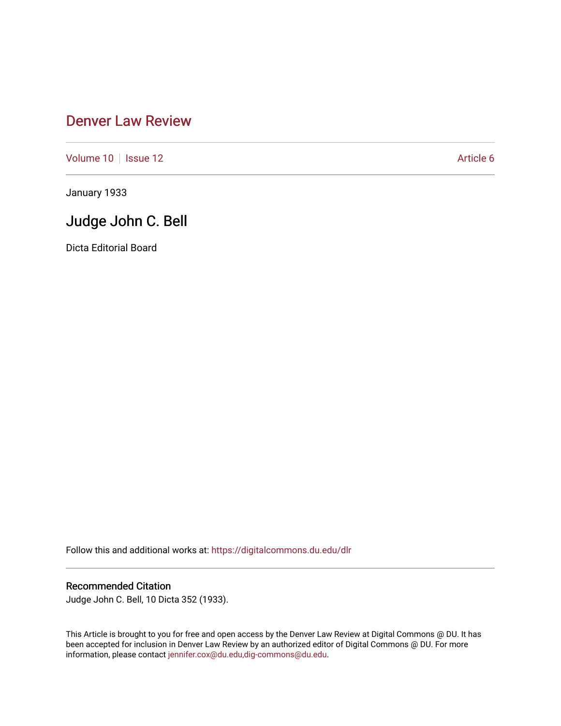## [Denver Law Review](https://digitalcommons.du.edu/dlr)

[Volume 10](https://digitalcommons.du.edu/dlr/vol10) | [Issue 12](https://digitalcommons.du.edu/dlr/vol10/iss12) Article 6

January 1933

## Judge John C. Bell

Dicta Editorial Board

Follow this and additional works at: [https://digitalcommons.du.edu/dlr](https://digitalcommons.du.edu/dlr?utm_source=digitalcommons.du.edu%2Fdlr%2Fvol10%2Fiss12%2F6&utm_medium=PDF&utm_campaign=PDFCoverPages) 

## Recommended Citation

Judge John C. Bell, 10 Dicta 352 (1933).

This Article is brought to you for free and open access by the Denver Law Review at Digital Commons @ DU. It has been accepted for inclusion in Denver Law Review by an authorized editor of Digital Commons @ DU. For more information, please contact [jennifer.cox@du.edu,dig-commons@du.edu.](mailto:jennifer.cox@du.edu,dig-commons@du.edu)